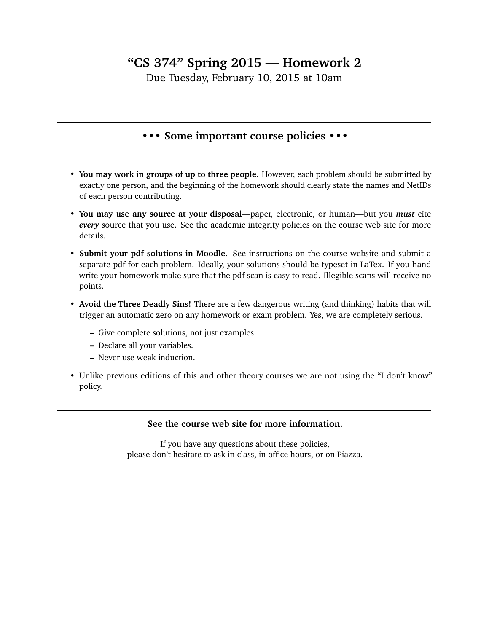## **"CS 374" Spring 2015 — Homework 2**

Due Tuesday, February 10, 2015 at 10am

## **••• Some important course policies •••**

- **You may work in groups of up to three people.** However, each problem should be submitted by exactly one person, and the beginning of the homework should clearly state the names and NetIDs of each person contributing.
- **You may use any source at your disposal**—paper, electronic, or human—but you *must* cite *every* source that you use. See the academic integrity policies on the course web site for more details.
- **Submit your pdf solutions in Moodle.** See instructions on the course website and submit a separate pdf for each problem. Ideally, your solutions should be typeset in LaTex. If you hand write your homework make sure that the pdf scan is easy to read. Illegible scans will receive no points.
- **Avoid the Three Deadly Sins!** There are a few dangerous writing (and thinking) habits that will trigger an automatic zero on any homework or exam problem. Yes, we are completely serious.
	- **–** Give complete solutions, not just examples.
	- **–** Declare all your variables.
	- **–** Never use weak induction.
- Unlike previous editions of this and other theory courses we are not using the "I don't know" policy.

## **See the course web site for more information.**

If you have any questions about these policies, please don't hesitate to ask in class, in office hours, or on Piazza.